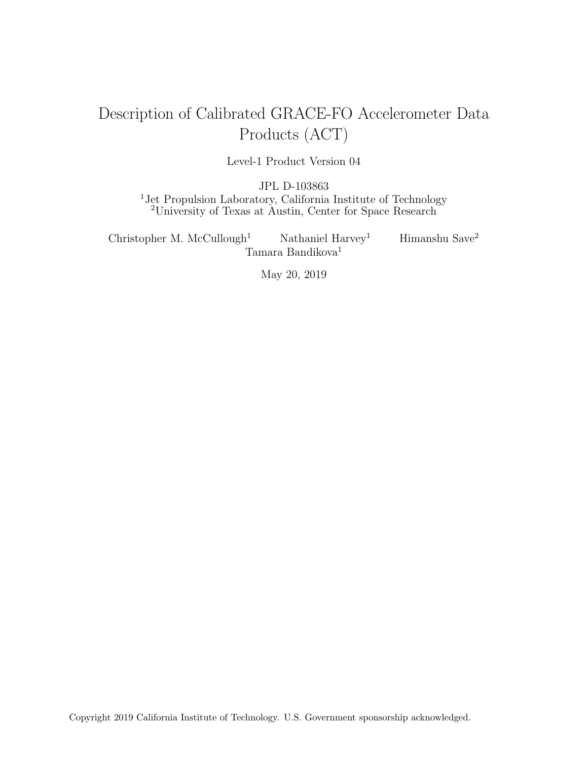# Description of Calibrated GRACE-FO Accelerometer Data Products (ACT)

Level-1 Product Version 04

JPL D-103863 <sup>1</sup>Jet Propulsion Laboratory, California Institute of Technology <sup>2</sup>University of Texas at Austin, Center for Space Research

Christopher M. McCullough<sup>1</sup> Nathaniel Harvey<sup>1</sup> Himanshu Save<sup>2</sup> Tamara Bandikova $1$ 

May 20, 2019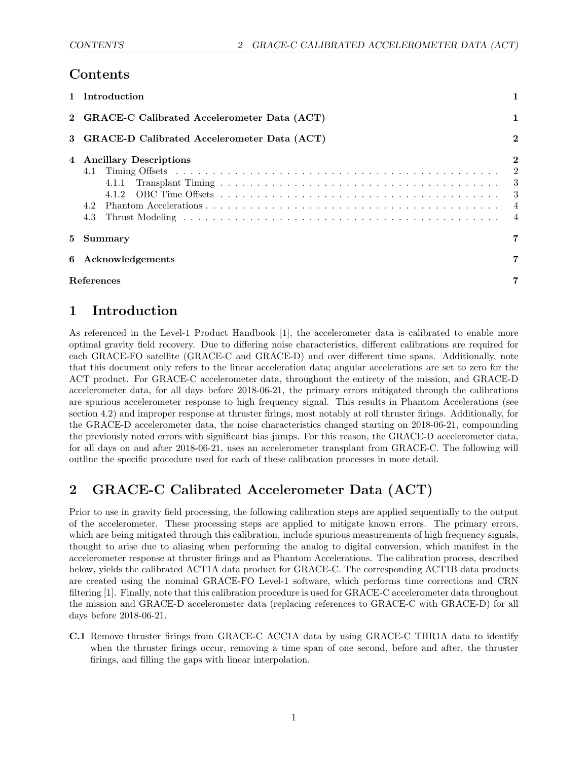### Contents

|    | 1 Introduction                                            |                                                                        |  |  |  |
|----|-----------------------------------------------------------|------------------------------------------------------------------------|--|--|--|
|    | 2 GRACE-C Calibrated Accelerometer Data (ACT)             |                                                                        |  |  |  |
|    | $\bf{2}$<br>3 GRACE-D Calibrated Accelerometer Data (ACT) |                                                                        |  |  |  |
|    | 4 Ancillary Descriptions<br>4.1.2<br>4.2<br>4.3           | $\mathbf{2}$<br>2<br>$\overline{\phantom{a}3}$<br>-3<br>$\overline{4}$ |  |  |  |
| 5. | Summary                                                   | $\mathbf 7$                                                            |  |  |  |
| 6  | Acknowledgements<br>$\overline{7}$                        |                                                                        |  |  |  |
|    | References                                                | 7                                                                      |  |  |  |

# <span id="page-1-0"></span>1 Introduction

As referenced in the Level-1 Product Handbook [\[1\]](#page-7-3), the accelerometer data is calibrated to enable more optimal gravity field recovery. Due to differing noise characteristics, different calibrations are required for each GRACE-FO satellite (GRACE-C and GRACE-D) and over different time spans. Additionally, note that this document only refers to the linear acceleration data; angular accelerations are set to zero for the ACT product. For GRACE-C accelerometer data, throughout the entirety of the mission, and GRACE-D accelerometer data, for all days before 2018-06-21, the primary errors mitigated through the calibrations are spurious accelerometer response to high frequency signal. This results in Phantom Accelerations (see section [4.2\)](#page-4-0) and improper response at thruster firings, most notably at roll thruster firings. Additionally, for the GRACE-D accelerometer data, the noise characteristics changed starting on 2018-06-21, compounding the previously noted errors with significant bias jumps. For this reason, the GRACE-D accelerometer data, for all days on and after 2018-06-21, uses an accelerometer transplant from GRACE-C. The following will outline the specific procedure used for each of these calibration processes in more detail.

# <span id="page-1-1"></span>2 GRACE-C Calibrated Accelerometer Data (ACT)

Prior to use in gravity field processing, the following calibration steps are applied sequentially to the output of the accelerometer. These processing steps are applied to mitigate known errors. The primary errors, which are being mitigated through this calibration, include spurious measurements of high frequency signals. thought to arise due to aliasing when performing the analog to digital conversion, which manifest in the accelerometer response at thruster firings and as Phantom Accelerations. The calibration process, described below, yields the calibrated ACT1A data product for GRACE-C. The corresponding ACT1B data products are created using the nominal GRACE-FO Level-1 software, which performs time corrections and CRN filtering [\[1\]](#page-7-3). Finally, note that this calibration procedure is used for GRACE-C accelerometer data throughout the mission and GRACE-D accelerometer data (replacing references to GRACE-C with GRACE-D) for all days before 2018-06-21.

<span id="page-1-2"></span>C.1 Remove thruster firings from GRACE-C ACC1A data by using GRACE-C THR1A data to identify when the thruster firings occur, removing a time span of one second, before and after, the thruster firings, and filling the gaps with linear interpolation.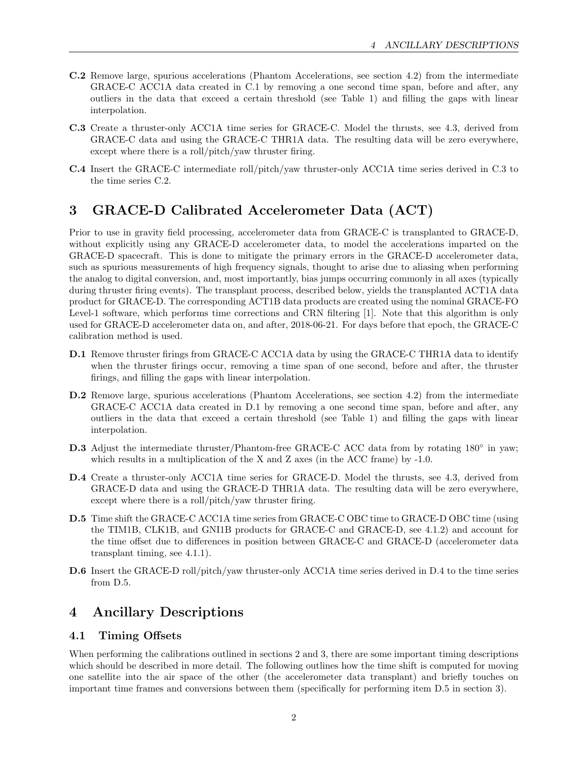- <span id="page-2-4"></span>C.2 Remove large, spurious accelerations (Phantom Accelerations, see section [4.2\)](#page-4-0) from the intermediate GRACE-C ACC1A data created in [C.1](#page-1-2) by removing a one second time span, before and after, any outliers in the data that exceed a certain threshold (see Table [1\)](#page-4-2) and filling the gaps with linear interpolation.
- <span id="page-2-3"></span>C.3 Create a thruster-only ACC1A time series for GRACE-C. Model the thrusts, see [4.3,](#page-4-1) derived from GRACE-C data and using the GRACE-C THR1A data. The resulting data will be zero everywhere, except where there is a roll/pitch/yaw thruster firing.
- C.4 Insert the GRACE-C intermediate roll/pitch/yaw thruster-only ACC1A time series derived in [C.3](#page-2-3) to the time series [C.2.](#page-2-4)

# <span id="page-2-0"></span>3 GRACE-D Calibrated Accelerometer Data (ACT)

Prior to use in gravity field processing, accelerometer data from GRACE-C is transplanted to GRACE-D, without explicitly using any GRACE-D accelerometer data, to model the accelerations imparted on the GRACE-D spacecraft. This is done to mitigate the primary errors in the GRACE-D accelerometer data, such as spurious measurements of high frequency signals, thought to arise due to aliasing when performing the analog to digital conversion, and, most importantly, bias jumps occurring commonly in all axes (typically during thruster firing events). The transplant process, described below, yields the transplanted ACT1A data product for GRACE-D. The corresponding ACT1B data products are created using the nominal GRACE-FO Level-1 software, which performs time corrections and CRN filtering [\[1\]](#page-7-3). Note that this algorithm is only used for GRACE-D accelerometer data on, and after, 2018-06-21. For days before that epoch, the GRACE-C calibration method is used.

- <span id="page-2-5"></span>D.1 Remove thruster firings from GRACE-C ACC1A data by using the GRACE-C THR1A data to identify when the thruster firings occur, removing a time span of one second, before and after, the thruster firings, and filling the gaps with linear interpolation.
- D.2 Remove large, spurious accelerations (Phantom Accelerations, see section [4.2\)](#page-4-0) from the intermediate GRACE-C ACC1A data created in [D.1](#page-2-5) by removing a one second time span, before and after, any outliers in the data that exceed a certain threshold (see Table [1\)](#page-4-2) and filling the gaps with linear interpolation.
- D.3 Adjust the intermediate thruster/Phantom-free GRACE-C ACC data from by rotating 180° in yaw; which results in a multiplication of the X and Z axes (in the ACC frame) by  $-1.0$ .
- <span id="page-2-6"></span>D.4 Create a thruster-only ACC1A time series for GRACE-D. Model the thrusts, see [4.3,](#page-4-1) derived from GRACE-D data and using the GRACE-D THR1A data. The resulting data will be zero everywhere, except where there is a roll/pitch/yaw thruster firing.
- <span id="page-2-7"></span>D.5 Time shift the GRACE-C ACC1A time series from GRACE-C OBC time to GRACE-D OBC time (using the TIM1B, CLK1B, and GNI1B products for GRACE-C and GRACE-D, see [4.1.2\)](#page-3-1) and account for the time offset due to differences in position between GRACE-C and GRACE-D (accelerometer data transplant timing, see [4.1.1\)](#page-3-0).
- D.6 Insert the GRACE-D roll/pitch/yaw thruster-only ACC1A time series derived in [D.4](#page-2-6) to the time series from [D.5.](#page-2-7)

# <span id="page-2-1"></span>4 Ancillary Descriptions

### <span id="page-2-2"></span>4.1 Timing Offsets

When performing the calibrations outlined in sections [2](#page-1-1) and [3,](#page-2-0) there are some important timing descriptions which should be described in more detail. The following outlines how the time shift is computed for moving one satellite into the air space of the other (the accelerometer data transplant) and briefly touches on important time frames and conversions between them (specifically for performing item [D.5](#page-2-7) in section [3\)](#page-2-0).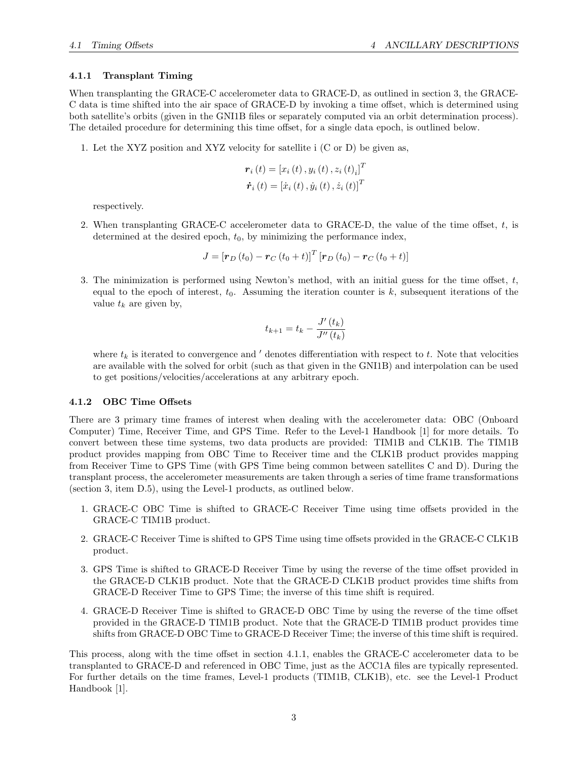#### <span id="page-3-0"></span>4.1.1 Transplant Timing

When transplanting the GRACE-C accelerometer data to GRACE-D, as outlined in section [3,](#page-2-0) the GRACE-C data is time shifted into the air space of GRACE-D by invoking a time offset, which is determined using both satellite's orbits (given in the GNI1B files or separately computed via an orbit determination process). The detailed procedure for determining this time offset, for a single data epoch, is outlined below.

1. Let the XYZ position and XYZ velocity for satellite i (C or D) be given as,

$$
\boldsymbol{r}_{i}\left(t\right)=\left[x_{i}\left(t\right),y_{i}\left(t\right),z_{i}\left(t\right)_{i}\right]^{T}
$$

$$
\dot{\boldsymbol{r}}_{i}\left(t\right)=\left[\dot{x}_{i}\left(t\right),\dot{y}_{i}\left(t\right),\dot{z}_{i}\left(t\right)\right]^{T}
$$

respectively.

2. When transplanting GRACE-C accelerometer data to GRACE-D, the value of the time offset, t, is determined at the desired epoch,  $t_0$ , by minimizing the performance index,

$$
J = [\mathbf{r}_{D}(t_{0}) - \mathbf{r}_{C}(t_{0} + t)]^{T} [\mathbf{r}_{D}(t_{0}) - \mathbf{r}_{C}(t_{0} + t)]
$$

3. The minimization is performed using Newton's method, with an initial guess for the time offset,  $t$ , equal to the epoch of interest,  $t_0$ . Assuming the iteration counter is k, subsequent iterations of the value  $t_k$  are given by,

$$
t_{k+1} = t_k - \frac{J'(t_k)}{J''(t_k)}
$$

where  $t_k$  is iterated to convergence and  $\prime$  denotes differentiation with respect to t. Note that velocities are available with the solved for orbit (such as that given in the GNI1B) and interpolation can be used to get positions/velocities/accelerations at any arbitrary epoch.

#### <span id="page-3-1"></span>4.1.2 OBC Time Offsets

There are 3 primary time frames of interest when dealing with the accelerometer data: OBC (Onboard Computer) Time, Receiver Time, and GPS Time. Refer to the Level-1 Handbook [\[1\]](#page-7-3) for more details. To convert between these time systems, two data products are provided: TIM1B and CLK1B. The TIM1B product provides mapping from OBC Time to Receiver time and the CLK1B product provides mapping from Receiver Time to GPS Time (with GPS Time being common between satellites C and D). During the transplant process, the accelerometer measurements are taken through a series of time frame transformations (section [3,](#page-2-0) item [D.5\)](#page-2-7), using the Level-1 products, as outlined below.

- 1. GRACE-C OBC Time is shifted to GRACE-C Receiver Time using time offsets provided in the GRACE-C TIM1B product.
- 2. GRACE-C Receiver Time is shifted to GPS Time using time offsets provided in the GRACE-C CLK1B product.
- 3. GPS Time is shifted to GRACE-D Receiver Time by using the reverse of the time offset provided in the GRACE-D CLK1B product. Note that the GRACE-D CLK1B product provides time shifts from GRACE-D Receiver Time to GPS Time; the inverse of this time shift is required.
- 4. GRACE-D Receiver Time is shifted to GRACE-D OBC Time by using the reverse of the time offset provided in the GRACE-D TIM1B product. Note that the GRACE-D TIM1B product provides time shifts from GRACE-D OBC Time to GRACE-D Receiver Time; the inverse of this time shift is required.

This process, along with the time offset in section [4.1.1,](#page-3-0) enables the GRACE-C accelerometer data to be transplanted to GRACE-D and referenced in OBC Time, just as the ACC1A files are typically represented. For further details on the time frames, Level-1 products (TIM1B, CLK1B), etc. see the Level-1 Product Handbook [\[1\]](#page-7-3).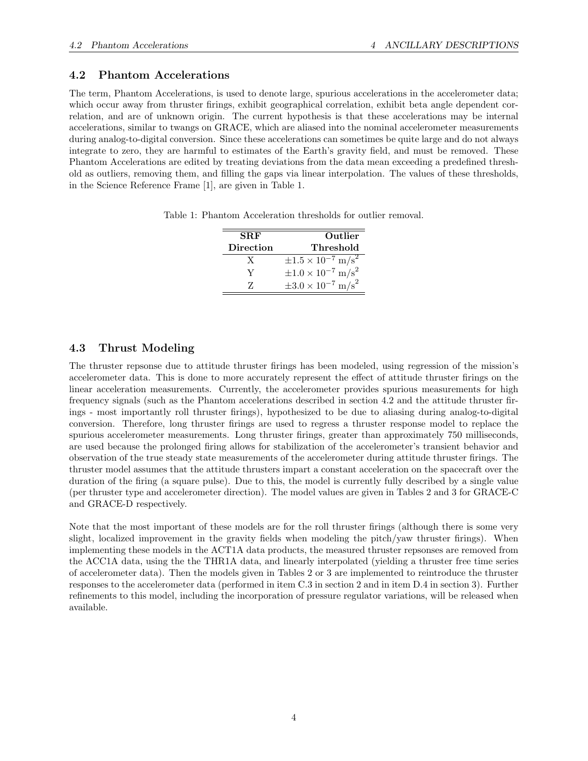### <span id="page-4-0"></span>4.2 Phantom Accelerations

The term, Phantom Accelerations, is used to denote large, spurious accelerations in the accelerometer data; which occur away from thruster firings, exhibit geographical correlation, exhibit beta angle dependent correlation, and are of unknown origin. The current hypothesis is that these accelerations may be internal accelerations, similar to twangs on GRACE, which are aliased into the nominal accelerometer measurements during analog-to-digital conversion. Since these accelerations can sometimes be quite large and do not always integrate to zero, they are harmful to estimates of the Earth's gravity field, and must be removed. These Phantom Accelerations are edited by treating deviations from the data mean exceeding a predefined threshold as outliers, removing them, and filling the gaps via linear interpolation. The values of these thresholds, in the Science Reference Frame [\[1\]](#page-7-3), are given in Table [1.](#page-4-2)

Table 1: Phantom Acceleration thresholds for outlier removal.

<span id="page-4-2"></span>

| <b>SRF</b>       | Outlier                                   |
|------------------|-------------------------------------------|
| <b>Direction</b> | Threshold                                 |
| X                | $\pm 1.5 \times 10^{-7}$ m/s <sup>2</sup> |
| V                | $\pm 1.0 \times 10^{-7}$ m/s <sup>2</sup> |
| 7.               | $\pm 3.0 \times 10^{-7}$ m/s <sup>2</sup> |

### <span id="page-4-1"></span>4.3 Thrust Modeling

The thruster repsonse due to attitude thruster firings has been modeled, using regression of the mission's accelerometer data. This is done to more accurately represent the effect of attitude thruster firings on the linear acceleration measurements. Currently, the accelerometer provides spurious measurements for high frequency signals (such as the Phantom accelerations described in section [4.2](#page-4-0) and the attitude thruster firings - most importantly roll thruster firings), hypothesized to be due to aliasing during analog-to-digital conversion. Therefore, long thruster firings are used to regress a thruster response model to replace the spurious accelerometer measurements. Long thruster firings, greater than approximately 750 milliseconds, are used because the prolonged firing allows for stabilization of the accelerometer's transient behavior and observation of the true steady state measurements of the accelerometer during attitude thruster firings. The thruster model assumes that the attitude thrusters impart a constant acceleration on the spacecraft over the duration of the firing (a square pulse). Due to this, the model is currently fully described by a single value (per thruster type and accelerometer direction). The model values are given in Tables [2](#page-5-0) and [3](#page-6-0) for GRACE-C and GRACE-D respectively.

Note that the most important of these models are for the roll thruster firings (although there is some very slight, localized improvement in the gravity fields when modeling the pitch/yaw thruster firings). When implementing these models in the ACT1A data products, the measured thruster repsonses are removed from the ACC1A data, using the the THR1A data, and linearly interpolated (yielding a thruster free time series of accelerometer data). Then the models given in Tables [2](#page-5-0) or [3](#page-6-0) are implemented to reintroduce the thruster responses to the accelerometer data (performed in item [C.3](#page-2-3) in section [2](#page-1-1) and in item [D.4](#page-2-6) in section [3\)](#page-2-0). Further refinements to this model, including the incorporation of pressure regulator variations, will be released when available.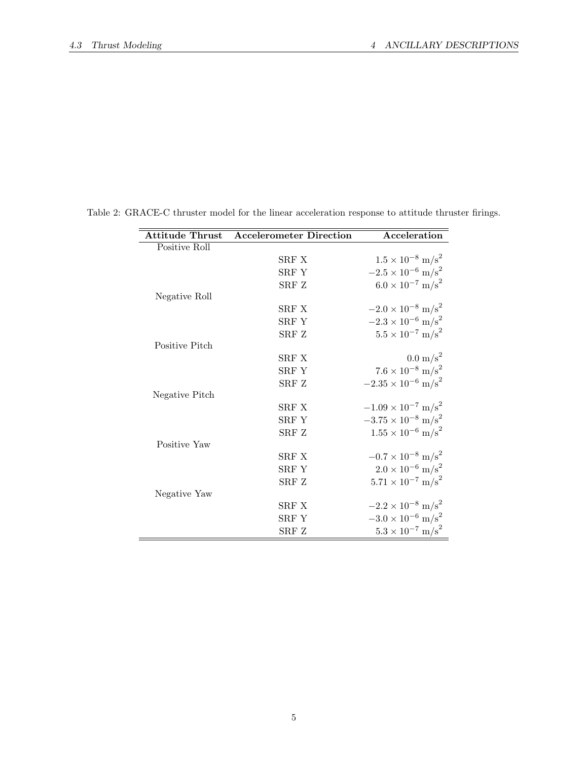<span id="page-5-0"></span>

| <b>Attitude Thrust</b> | <b>Accelerometer Direction</b> | Acceleration                            |
|------------------------|--------------------------------|-----------------------------------------|
| Positive Roll          |                                |                                         |
|                        | SRF X                          | $1.5 \times 10^{-8}$ m/s <sup>2</sup>   |
|                        | SRF Y                          | $-2.5 \times 10^{-6}$ m/s <sup>2</sup>  |
|                        | SRF Z                          | $6.0 \times 10^{-7}$ m/s <sup>2</sup>   |
| Negative Roll          |                                |                                         |
|                        | SRF X                          | $-2.0 \times 10^{-8}$ m/s <sup>2</sup>  |
|                        | SRF Y                          | $-2.3 \times 10^{-6}$ m/s <sup>2</sup>  |
|                        | SRF Z                          | $5.5 \times 10^{-7}$ m/s <sup>2</sup>   |
| Positive Pitch         |                                |                                         |
|                        | SRF X                          | $0.0 \text{ m/s}^2$                     |
|                        | SRF Y                          | $7.6 \times 10^{-8}$ m/s <sup>2</sup>   |
|                        | SRF Z                          | $-2.35 \times 10^{-6}$ m/s <sup>2</sup> |
| Negative Pitch         |                                |                                         |
|                        | SRF X                          | $-1.09 \times 10^{-7}$ m/s <sup>2</sup> |
|                        | SRF Y                          | $-3.75 \times 10^{-8}$ m/s <sup>2</sup> |
|                        | SRF Z                          | $1.55 \times 10^{-6}$ m/s <sup>2</sup>  |
| Positive Yaw           |                                |                                         |
|                        | SRF X                          | $-0.7 \times 10^{-8}$ m/s <sup>2</sup>  |
|                        | SRF Y                          | $2.0 \times 10^{-6}$ m/s <sup>2</sup>   |
|                        | SRF Z                          | $5.71 \times 10^{-7}$ m/s <sup>2</sup>  |
| Negative Yaw           |                                |                                         |
|                        | SRF X                          | $-2.2 \times 10^{-8}$ m/s <sup>2</sup>  |
|                        | SRF Y                          | $-3.0 \times 10^{-6}$ m/s <sup>2</sup>  |
|                        | SRF Z                          | $5.3 \times 10^{-7}$ m/s <sup>2</sup>   |

Table 2: GRACE-C thruster model for the linear acceleration response to attitude thruster firings.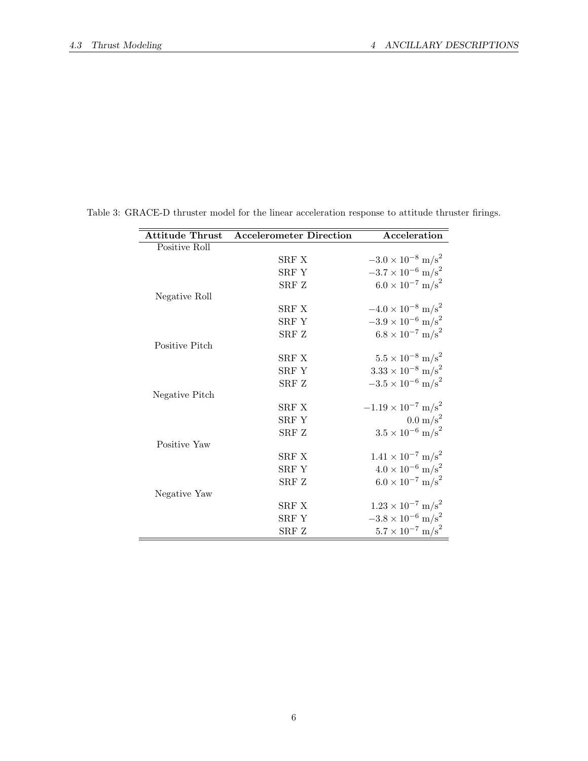<span id="page-6-0"></span>

| <b>Attitude Thrust</b> | <b>Accelerometer Direction</b> | Acceleration                            |
|------------------------|--------------------------------|-----------------------------------------|
| Positive Roll          |                                |                                         |
|                        | SRF X                          | $-3.0 \times 10^{-8}$ m/s <sup>2</sup>  |
|                        | SRF Y                          | $-3.7 \times 10^{-6}$ m/s <sup>2</sup>  |
|                        | SRF Z                          | $6.0 \times 10^{-7}$ m/s <sup>2</sup>   |
| Negative Roll          |                                |                                         |
|                        | SRF X                          | $-4.0 \times 10^{-8}$ m/s <sup>2</sup>  |
|                        | SRF Y                          | $-3.9 \times 10^{-6}$ m/s <sup>2</sup>  |
|                        | SRF Z                          | $6.8 \times 10^{-7}$ m/s <sup>2</sup>   |
| Positive Pitch         |                                |                                         |
|                        | SRF X                          | $5.5 \times 10^{-8}$ m/s <sup>2</sup>   |
|                        | SRF Y                          | $3.33 \times 10^{-8}$ m/s <sup>2</sup>  |
|                        | SRF Z                          | $-3.5 \times 10^{-6}$ m/s <sup>2</sup>  |
| Negative Pitch         |                                |                                         |
|                        | SRF X                          | $-1.19 \times 10^{-7}$ m/s <sup>2</sup> |
|                        | SRF Y                          | $0.0 \text{ m/s}^2$                     |
|                        | SRF Z                          | $3.5 \times 10^{-6}$ m/s <sup>2</sup>   |
| Positive Yaw           |                                |                                         |
|                        | SRF X                          | $1.41 \times 10^{-7}$ m/s <sup>2</sup>  |
|                        | SRF Y                          | $4.0 \times 10^{-6}$ m/s <sup>2</sup>   |
|                        | SRF Z                          | $6.0 \times 10^{-7}$ m/s <sup>2</sup>   |
| Negative Yaw           |                                |                                         |
|                        | SRF X                          | $1.23 \times 10^{-7}$ m/s <sup>2</sup>  |
|                        | SRF Y                          | $-3.8 \times 10^{-6}$ m/s <sup>2</sup>  |
|                        | ${\rm SRF}$ ${\rm Z}$          | $5.7 \times 10^{-7}$ m/s <sup>2</sup>   |

Table 3: GRACE-D thruster model for the linear acceleration response to attitude thruster firings.